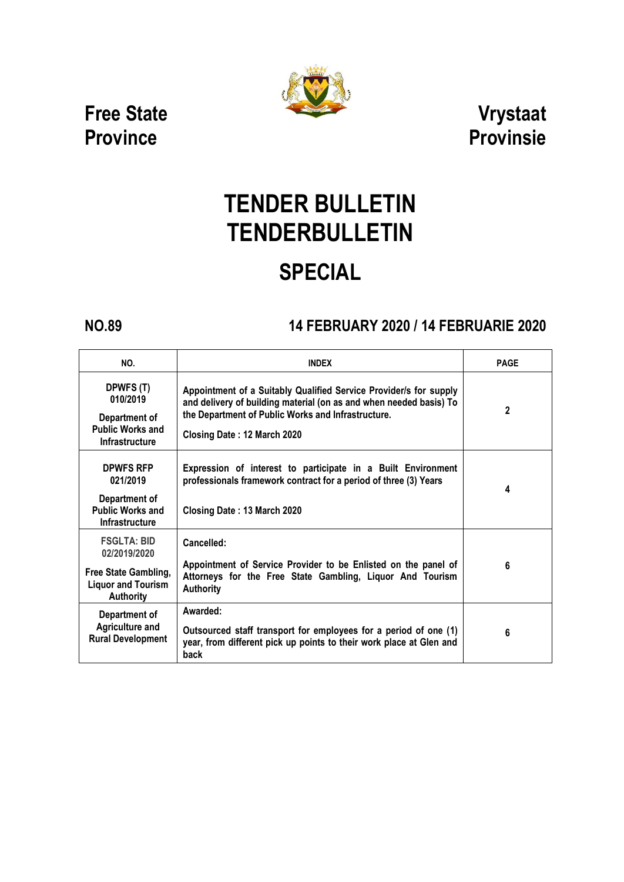

**Free State Province**

**Vrystaat Provinsie**

# **TENDER BULLETIN TENDERBULLETIN SPECIAL**

## **NO.89 14 FEBRUARY 2020 / 14 FEBRUARIE 2020**

| NO.                                                                                                         | <b>INDEX</b>                                                                                                                                                                                                                 | <b>PAGE</b> |
|-------------------------------------------------------------------------------------------------------------|------------------------------------------------------------------------------------------------------------------------------------------------------------------------------------------------------------------------------|-------------|
| DPWFS (T)<br>010/2019<br>Department of<br><b>Public Works and</b><br><b>Infrastructure</b>                  | Appointment of a Suitably Qualified Service Provider/s for supply<br>and delivery of building material (on as and when needed basis) To<br>the Department of Public Works and Infrastructure.<br>Closing Date: 12 March 2020 | 2           |
| <b>DPWFS RFP</b><br>021/2019<br>Department of<br><b>Public Works and</b><br><b>Infrastructure</b>           | Expression of interest to participate in a Built Environment<br>professionals framework contract for a period of three (3) Years<br>Closing Date: 13 March 2020                                                              | 4           |
| <b>FSGLTA: BID</b><br>02/2019/2020<br>Free State Gambling,<br><b>Liquor and Tourism</b><br><b>Authority</b> | Cancelled:<br>Appointment of Service Provider to be Enlisted on the panel of<br>Attorneys for the Free State Gambling, Liquor And Tourism<br><b>Authority</b>                                                                | 6           |
| Department of<br><b>Agriculture and</b><br><b>Rural Development</b>                                         | Awarded:<br>Outsourced staff transport for employees for a period of one (1)<br>year, from different pick up points to their work place at Glen and<br>back                                                                  | 6           |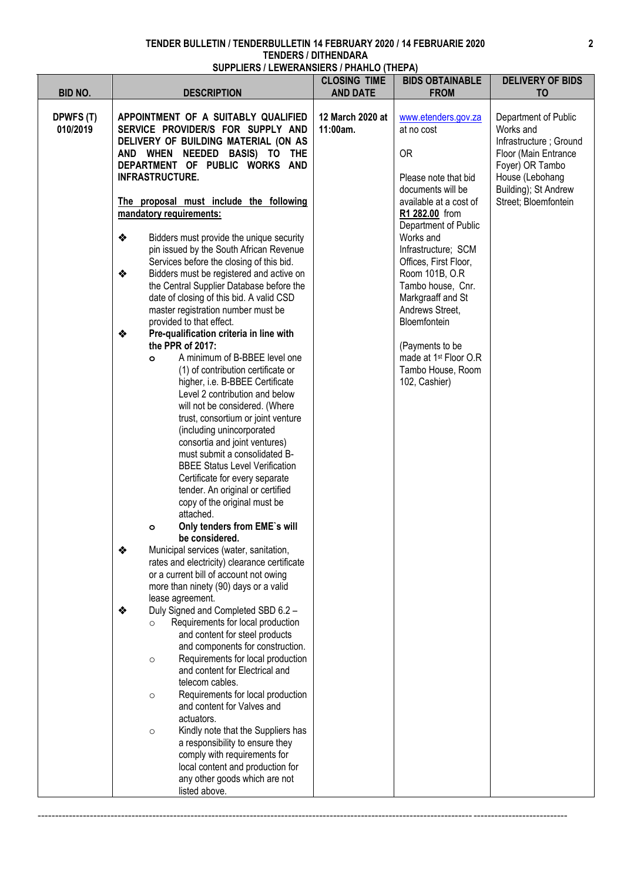|                                         |                                                                                                                                                                                                                                                                                                                                                                                                                                                                                                                                                                                                                                                                                                                                                                                                                                                                                                                                                                                                                                                                                                                                                                                                                                                                                         | <b>CLOSING TIME</b>                             | <b>BIDS OBTAINABLE</b>                                                                                                                                                                                                                                                                                                                                                                                                                   | <b>DELIVERY OF BIDS</b>                                                                                                                                                                     |
|-----------------------------------------|-----------------------------------------------------------------------------------------------------------------------------------------------------------------------------------------------------------------------------------------------------------------------------------------------------------------------------------------------------------------------------------------------------------------------------------------------------------------------------------------------------------------------------------------------------------------------------------------------------------------------------------------------------------------------------------------------------------------------------------------------------------------------------------------------------------------------------------------------------------------------------------------------------------------------------------------------------------------------------------------------------------------------------------------------------------------------------------------------------------------------------------------------------------------------------------------------------------------------------------------------------------------------------------------|-------------------------------------------------|------------------------------------------------------------------------------------------------------------------------------------------------------------------------------------------------------------------------------------------------------------------------------------------------------------------------------------------------------------------------------------------------------------------------------------------|---------------------------------------------------------------------------------------------------------------------------------------------------------------------------------------------|
|                                         |                                                                                                                                                                                                                                                                                                                                                                                                                                                                                                                                                                                                                                                                                                                                                                                                                                                                                                                                                                                                                                                                                                                                                                                                                                                                                         |                                                 |                                                                                                                                                                                                                                                                                                                                                                                                                                          |                                                                                                                                                                                             |
| <b>BID NO.</b><br>DPWFS (T)<br>010/2019 | <b>DESCRIPTION</b><br>APPOINTMENT OF A SUITABLY QUALIFIED<br>SERVICE PROVIDER/S FOR SUPPLY AND<br>DELIVERY OF BUILDING MATERIAL (ON AS<br>AND WHEN NEEDED BASIS) TO THE<br>DEPARTMENT OF PUBLIC WORKS AND<br><b>INFRASTRUCTURE.</b><br>The proposal must include the following<br>mandatory requirements:<br>❖<br>Bidders must provide the unique security<br>pin issued by the South African Revenue<br>Services before the closing of this bid.<br>❖<br>Bidders must be registered and active on<br>the Central Supplier Database before the<br>date of closing of this bid. A valid CSD<br>master registration number must be<br>provided to that effect.<br>❖<br>Pre-qualification criteria in line with<br>the PPR of 2017:<br>A minimum of B-BBEE level one<br>$\circ$<br>(1) of contribution certificate or<br>higher, i.e. B-BBEE Certificate<br>Level 2 contribution and below<br>will not be considered. (Where<br>trust, consortium or joint venture<br>(including unincorporated<br>consortia and joint ventures)<br>must submit a consolidated B-<br><b>BBEE Status Level Verification</b><br>Certificate for every separate<br>tender. An original or certified<br>copy of the original must be<br>attached.<br>Only tenders from EME's will<br>$\circ$<br>be considered. | <b>AND DATE</b><br>12 March 2020 at<br>11:00am. | <b>FROM</b><br>www.etenders.gov.za<br>at no cost<br><b>OR</b><br>Please note that bid<br>documents will be<br>available at a cost of<br>R1 282.00 from<br>Department of Public<br>Works and<br>Infrastructure; SCM<br>Offices, First Floor,<br>Room 101B, O.R<br>Tambo house, Cnr.<br>Markgraaff and St<br>Andrews Street,<br>Bloemfontein<br>(Payments to be<br>made at 1 <sup>st</sup> Floor O.R<br>Tambo House, Room<br>102, Cashier) | T <sub>O</sub><br>Department of Public<br>Works and<br>Infrastructure; Ground<br>Floor (Main Entrance<br>Foyer) OR Tambo<br>House (Lebohang<br>Building); St Andrew<br>Street; Bloemfontein |
|                                         | ❖<br>Municipal services (water, sanitation,<br>rates and electricity) clearance certificate<br>or a current bill of account not owing<br>more than ninety (90) days or a valid<br>lease agreement.                                                                                                                                                                                                                                                                                                                                                                                                                                                                                                                                                                                                                                                                                                                                                                                                                                                                                                                                                                                                                                                                                      |                                                 |                                                                                                                                                                                                                                                                                                                                                                                                                                          |                                                                                                                                                                                             |
|                                         | Duly Signed and Completed SBD 6.2 -<br>❖<br>Requirements for local production<br>$\circ$<br>and content for steel products<br>and components for construction.<br>Requirements for local production<br>$\circ$<br>and content for Electrical and<br>telecom cables.<br>Requirements for local production<br>$\circ$<br>and content for Valves and<br>actuators.<br>Kindly note that the Suppliers has<br>$\circ$<br>a responsibility to ensure they<br>comply with requirements for<br>local content and production for<br>any other goods which are not<br>listed above.                                                                                                                                                                                                                                                                                                                                                                                                                                                                                                                                                                                                                                                                                                               |                                                 |                                                                                                                                                                                                                                                                                                                                                                                                                                          |                                                                                                                                                                                             |

--------------------------------------------------------------------------------------------------------------------------------------------------------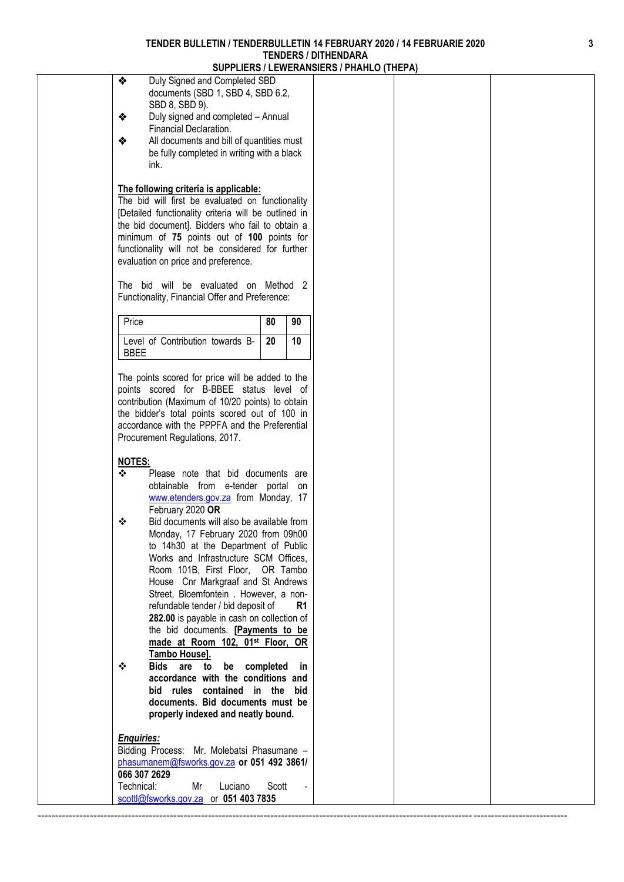|                                                                                                                                                                                                                                                                                                                                                                                                                                                                                                                                                                                                                                                                                                                                                                                                                                                                                                                                                                                                                                                                                                                                           |       | SUPPLIERS / LEWERANSIERS / PHANLU (THEPA) |  |
|-------------------------------------------------------------------------------------------------------------------------------------------------------------------------------------------------------------------------------------------------------------------------------------------------------------------------------------------------------------------------------------------------------------------------------------------------------------------------------------------------------------------------------------------------------------------------------------------------------------------------------------------------------------------------------------------------------------------------------------------------------------------------------------------------------------------------------------------------------------------------------------------------------------------------------------------------------------------------------------------------------------------------------------------------------------------------------------------------------------------------------------------|-------|-------------------------------------------|--|
| ❖<br>Duly Signed and Completed SBD<br>documents (SBD 1, SBD 4, SBD 6.2,<br>SBD 8, SBD 9).<br>❖<br>Duly signed and completed - Annual<br>Financial Declaration.<br>All documents and bill of quantities must<br>❖<br>be fully completed in writing with a black<br>ink.                                                                                                                                                                                                                                                                                                                                                                                                                                                                                                                                                                                                                                                                                                                                                                                                                                                                    |       |                                           |  |
| The following criteria is applicable:<br>The bid will first be evaluated on functionality<br>[Detailed functionality criteria will be outlined in<br>the bid document]. Bidders who fail to obtain a<br>minimum of 75 points out of 100 points for<br>functionality will not be considered for further<br>evaluation on price and preference.                                                                                                                                                                                                                                                                                                                                                                                                                                                                                                                                                                                                                                                                                                                                                                                             |       |                                           |  |
| The bid will be evaluated on Method 2<br>Functionality, Financial Offer and Preference:                                                                                                                                                                                                                                                                                                                                                                                                                                                                                                                                                                                                                                                                                                                                                                                                                                                                                                                                                                                                                                                   |       |                                           |  |
| Price                                                                                                                                                                                                                                                                                                                                                                                                                                                                                                                                                                                                                                                                                                                                                                                                                                                                                                                                                                                                                                                                                                                                     | 80    | 90                                        |  |
| Level of Contribution towards B-<br><b>BBEE</b>                                                                                                                                                                                                                                                                                                                                                                                                                                                                                                                                                                                                                                                                                                                                                                                                                                                                                                                                                                                                                                                                                           | 20    | 10                                        |  |
| The points scored for price will be added to the<br>points scored for B-BBEE status level of<br>contribution (Maximum of 10/20 points) to obtain<br>the bidder's total points scored out of 100 in<br>accordance with the PPPFA and the Preferential<br>Procurement Regulations, 2017.<br><b>NOTES:</b><br>❖<br>Please note that bid documents are<br>obtainable from e-tender portal on<br>www.etenders.gov.za from Monday, 17<br>February 2020 OR<br>Bid documents will also be available from<br>❖<br>Monday, 17 February 2020 from 09h00<br>to 14h30 at the Department of Public<br>Works and Infrastructure SCM Offices,<br>Room 101B, First Floor, OR Tambo<br>House Cnr Markgraaf and St Andrews<br>Street, Bloemfontein . However, a non-<br>refundable tender / bid deposit of<br>282.00 is payable in cash on collection of<br>the bid documents. [Payments to be<br>made at Room 102, 01 <sup>st</sup> Floor, OR<br>Tambo House].<br><b>Bids</b><br>are to be completed<br>❖<br>accordance with the conditions and<br>bid rules contained in the bid<br>documents. Bid documents must be<br>properly indexed and neatly bound. |       | R1<br>-in                                 |  |
| <b>Enquiries:</b><br>Bidding Process: Mr. Molebatsi Phasumane -<br>phasumanem@fsworks.gov.za or 051 492 3861/<br>066 307 2629<br>Technical:<br>Luciano<br>Mr                                                                                                                                                                                                                                                                                                                                                                                                                                                                                                                                                                                                                                                                                                                                                                                                                                                                                                                                                                              | Scott |                                           |  |
| scottl@fsworks.gov.za or 051 403 7835                                                                                                                                                                                                                                                                                                                                                                                                                                                                                                                                                                                                                                                                                                                                                                                                                                                                                                                                                                                                                                                                                                     |       |                                           |  |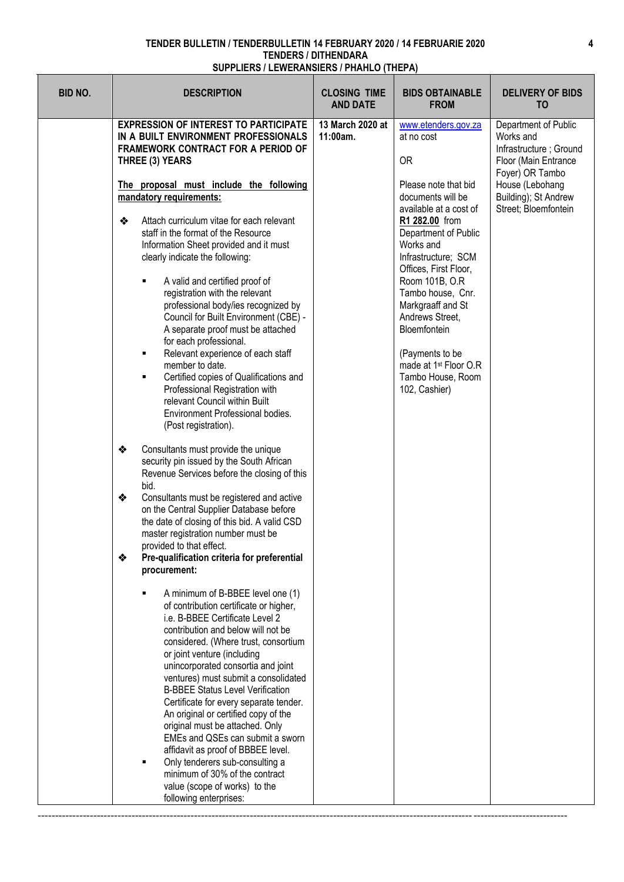$\mathsf{T}$ 

| <b>BID NO.</b><br><b>CLOSING TIME</b><br><b>BIDS OBTAINABLE</b><br><b>DELIVERY OF BIDS</b><br><b>DESCRIPTION</b><br><b>AND DATE</b><br><b>FROM</b><br>T <sub>0</sub> | <b>EXPRESSION OF INTEREST TO PARTICIPATE</b><br>13 March 2020 at<br>www.etenders.gov.za<br>Department of Public<br>IN A BUILT ENVIRONMENT PROFESSIONALS<br>11:00am.<br>Works and<br>at no cost<br><b>FRAMEWORK CONTRACT FOR A PERIOD OF</b><br>Infrastructure; Ground<br><b>OR</b><br>THREE (3) YEARS<br>Floor (Main Entrance<br>Foyer) OR Tambo<br>The proposal must include the following<br>Please note that bid<br>House (Lebohang<br>Building); St Andrew<br>documents will be<br>mandatory requirements:<br>available at a cost of<br>Street; Bloemfontein<br>Attach curriculum vitae for each relevant<br>❖<br>R1 282.00 from<br>staff in the format of the Resource<br>Department of Public<br>Information Sheet provided and it must<br>Works and<br>clearly indicate the following:<br>Infrastructure; SCM<br>Offices, First Floor,<br>A valid and certified proof of<br>Room 101B, O.R<br>٠<br>registration with the relevant<br>Tambo house, Cnr.<br>professional body/ies recognized by<br>Markgraaff and St<br>Council for Built Environment (CBE) -<br>Andrews Street,<br>A separate proof must be attached<br>Bloemfontein<br>for each professional.<br>Relevant experience of each staff<br>(Payments to be<br>٠<br>member to date.<br>made at 1 <sup>st</sup> Floor O.R<br>Certified copies of Qualifications and<br>Tambo House, Room<br>٠<br>Professional Registration with<br>102, Cashier)<br>relevant Council within Built<br>Environment Professional bodies.<br>(Post registration).<br>Consultants must provide the unique<br>❖<br>security pin issued by the South African<br>Revenue Services before the closing of this<br>bid.<br>❖<br>Consultants must be registered and active<br>on the Central Supplier Database before<br>the date of closing of this bid. A valid CSD<br>master registration number must be<br>provided to that effect.<br>Pre-qualification criteria for preferential<br>❖<br>procurement: |
|----------------------------------------------------------------------------------------------------------------------------------------------------------------------|-------------------------------------------------------------------------------------------------------------------------------------------------------------------------------------------------------------------------------------------------------------------------------------------------------------------------------------------------------------------------------------------------------------------------------------------------------------------------------------------------------------------------------------------------------------------------------------------------------------------------------------------------------------------------------------------------------------------------------------------------------------------------------------------------------------------------------------------------------------------------------------------------------------------------------------------------------------------------------------------------------------------------------------------------------------------------------------------------------------------------------------------------------------------------------------------------------------------------------------------------------------------------------------------------------------------------------------------------------------------------------------------------------------------------------------------------------------------------------------------------------------------------------------------------------------------------------------------------------------------------------------------------------------------------------------------------------------------------------------------------------------------------------------------------------------------------------------------------------------------------------------------------------------------------------------------------|
|                                                                                                                                                                      | A minimum of B-BBEE level one (1)<br>of contribution certificate or higher,<br>i.e. B-BBEE Certificate Level 2<br>contribution and below will not be<br>considered. (Where trust, consortium<br>or joint venture (including<br>unincorporated consortia and joint<br>ventures) must submit a consolidated<br><b>B-BBEE Status Level Verification</b><br>Certificate for every separate tender.<br>An original or certified copy of the<br>original must be attached. Only<br>EMEs and QSEs can submit a sworn<br>affidavit as proof of BBBEE level.<br>Only tenderers sub-consulting a<br>minimum of 30% of the contract<br>value (scope of works) to the<br>following enterprises:                                                                                                                                                                                                                                                                                                                                                                                                                                                                                                                                                                                                                                                                                                                                                                                                                                                                                                                                                                                                                                                                                                                                                                                                                                                             |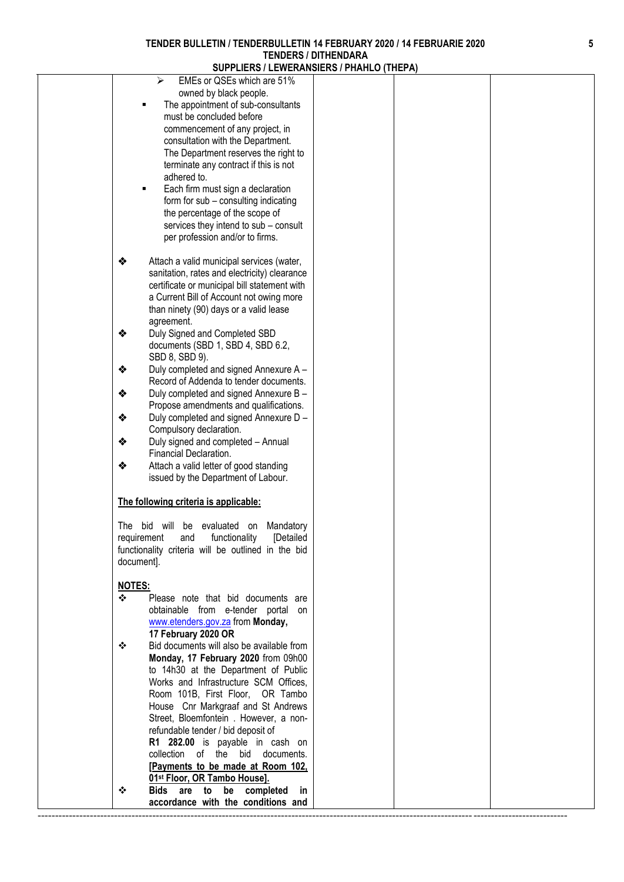| SUPPLIERS / LEWERANSIERS / PHANLU (THEPA)          |  |
|----------------------------------------------------|--|
| EMEs or QSEs which are 51%<br>⋗                    |  |
| owned by black people.                             |  |
| The appointment of sub-consultants                 |  |
| must be concluded before                           |  |
| commencement of any project, in                    |  |
| consultation with the Department.                  |  |
| The Department reserves the right to               |  |
| terminate any contract if this is not              |  |
| adhered to.                                        |  |
| Each firm must sign a declaration<br>п             |  |
| form for sub - consulting indicating               |  |
| the percentage of the scope of                     |  |
| services they intend to sub - consult              |  |
| per profession and/or to firms.                    |  |
|                                                    |  |
| ❖<br>Attach a valid municipal services (water,     |  |
| sanitation, rates and electricity) clearance       |  |
| certificate or municipal bill statement with       |  |
| a Current Bill of Account not owing more           |  |
| than ninety (90) days or a valid lease             |  |
| agreement.                                         |  |
| Duly Signed and Completed SBD<br>❖                 |  |
| documents (SBD 1, SBD 4, SBD 6.2,                  |  |
| SBD 8, SBD 9).                                     |  |
| Duly completed and signed Annexure A -<br>❖        |  |
| Record of Addenda to tender documents.             |  |
| ❖<br>Duly completed and signed Annexure B -        |  |
| Propose amendments and qualifications.             |  |
| ❖<br>Duly completed and signed Annexure D -        |  |
| Compulsory declaration.                            |  |
| Duly signed and completed - Annual<br>❖            |  |
| Financial Declaration.                             |  |
| ❖<br>Attach a valid letter of good standing        |  |
| issued by the Department of Labour.                |  |
|                                                    |  |
| The following criteria is applicable:              |  |
|                                                    |  |
| The bid will be evaluated on Mandatory             |  |
| requirement and functionality [Detailed            |  |
| functionality criteria will be outlined in the bid |  |
| document].                                         |  |
|                                                    |  |
| <b>NOTES:</b>                                      |  |
| ❖<br>Please note that bid documents are            |  |
| obtainable from e-tender portal on                 |  |
| www.etenders.gov.za from Monday,                   |  |
| 17 February 2020 OR                                |  |
| Bid documents will also be available from<br>❖     |  |
| Monday, 17 February 2020 from 09h00                |  |
| to 14h30 at the Department of Public               |  |
| Works and Infrastructure SCM Offices,              |  |
| Room 101B, First Floor, OR Tambo                   |  |
| House Cnr Markgraaf and St Andrews                 |  |
| Street, Bloemfontein . However, a non-             |  |
| refundable tender / bid deposit of                 |  |
| R1 282.00 is payable in cash on                    |  |
| collection of the bid documents.                   |  |
| [Payments to be made at Room 102,                  |  |
| 01st Floor, OR Tambo House].                       |  |
| Bids are to be completed<br>❖<br><b>in</b>         |  |
| accordance with the conditions and                 |  |
|                                                    |  |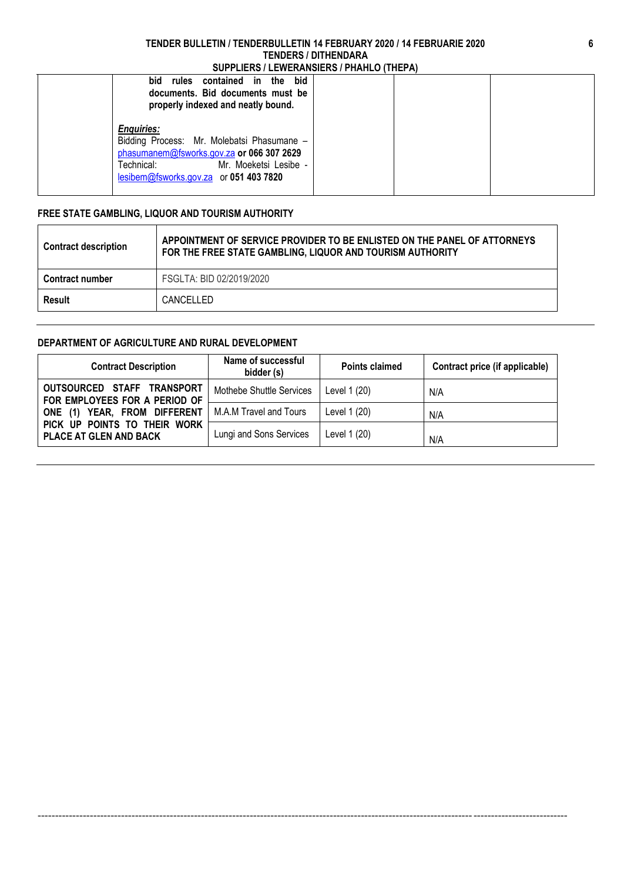| bid<br>bid<br>rules contained in the<br>documents. Bid documents must be<br>properly indexed and neatly bound.                                                                                |  |  |
|-----------------------------------------------------------------------------------------------------------------------------------------------------------------------------------------------|--|--|
| <b>Enquiries:</b><br>Bidding Process: Mr. Molebatsi Phasumane -<br>phasumanem@fsworks.gov.za or 066 307 2629<br>Mr. Moeketsi Lesibe -<br>Technical:<br>lesibem@fsworks.gov.za or 051 403 7820 |  |  |

### **FREE STATE GAMBLING, LIQUOR AND TOURISM AUTHORITY**

| <b>Contract description</b> | APPOINTMENT OF SERVICE PROVIDER TO BE ENLISTED ON THE PANEL OF ATTORNEYS<br>FOR THE FREE STATE GAMBLING, LIQUOR AND TOURISM AUTHORITY |
|-----------------------------|---------------------------------------------------------------------------------------------------------------------------------------|
| <b>Contract number</b>      | FSGLTA: BID 02/2019/2020                                                                                                              |
| Result                      | CANCELLED                                                                                                                             |

#### **DEPARTMENT OF AGRICULTURE AND RURAL DEVELOPMENT**

| <b>Contract Description</b>                                   | Name of successful<br>bidder (s) | <b>Points claimed</b> | Contract price (if applicable) |
|---------------------------------------------------------------|----------------------------------|-----------------------|--------------------------------|
| OUTSOURCED STAFF TRANSPORT<br>FOR EMPLOYEES FOR A PERIOD OF   | Mothebe Shuttle Services         | Level 1 (20)          | N/A                            |
| ONE (1) YEAR, FROM DIFFERENT                                  | M.A.M Travel and Tours           | Level 1 (20)          | N/A                            |
| PICK UP POINTS TO THEIR WORK<br><b>PLACE AT GLEN AND BACK</b> | Lungi and Sons Services          | Level 1 (20)          | N/A                            |

--------------------------------------------------------------------------------------------------------------------------------------------------------